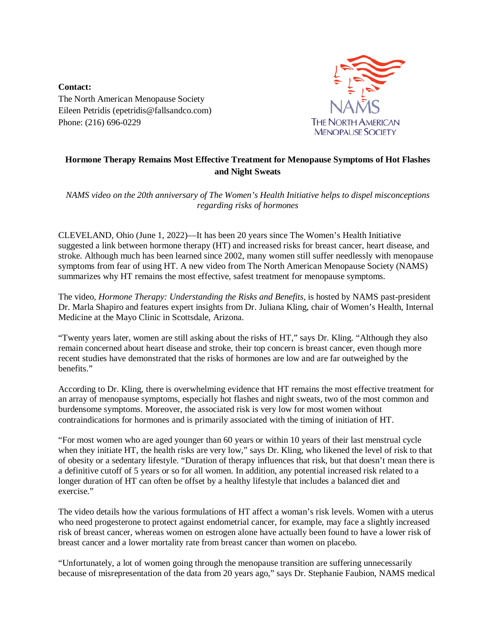**Contact:** The North American Menopause Society Eileen Petridis (epetridis@fallsandco.com) Phone: (216) 696-0229



## **Hormone Therapy Remains Most Effective Treatment for Menopause Symptoms of Hot Flashes and Night Sweats**

*NAMS video on the 20th anniversary of The Women's Health Initiative helps to dispel misconceptions regarding risks of hormones*

CLEVELAND, Ohio (June 1, 2022)—It has been 20 years since The Women's Health Initiative suggested a link between hormone therapy (HT) and increased risks for breast cancer, heart disease, and stroke. Although much has been learned since 2002, many women still suffer needlessly with menopause symptoms from fear of using HT. A new video from The North American Menopause Society (NAMS) summarizes why HT remains the most effective, safest treatment for menopause symptoms.

The video, *[Hormone Therapy: Understanding the Risks and Benefits,](https://youtu.be/xdjr7bs0jy0)* is hosted by NAMS past-president Dr. Marla Shapiro and features expert insights from Dr. Juliana Kling, chair of Women's Health, Internal Medicine at the Mayo Clinic in Scottsdale, Arizona.

"Twenty years later, women are still asking about the risks of HT," says Dr. Kling. "Although they also remain concerned about heart disease and stroke, their top concern is breast cancer, even though more recent studies have demonstrated that the risks of hormones are low and are far outweighed by the benefits."

According to Dr. Kling, there is overwhelming evidence that HT remains the most effective treatment for an array of menopause symptoms, especially hot flashes and night sweats, two of the most common and burdensome symptoms. Moreover, the associated risk is very low for most women without contraindications for hormones and is primarily associated with the timing of initiation of HT.

"For most women who are aged younger than 60 years or within 10 years of their last menstrual cycle when they initiate HT, the health risks are very low," says Dr. Kling, who likened the level of risk to that of obesity or a sedentary lifestyle. "Duration of therapy influences that risk, but that doesn't mean there is a definitive cutoff of 5 years or so for all women. In addition, any potential increased risk related to a longer duration of HT can often be offset by a healthy lifestyle that includes a balanced diet and exercise."

The video details how the various formulations of HT affect a woman's risk levels. Women with a uterus who need progesterone to protect against endometrial cancer, for example, may face a slightly increased risk of breast cancer, whereas women on estrogen alone have actually been found to have a lower risk of breast cancer and a lower mortality rate from breast cancer than women on placebo.

"Unfortunately, a lot of women going through the menopause transition are suffering unnecessarily because of misrepresentation of the data from 20 years ago," says Dr. Stephanie Faubion, NAMS medical